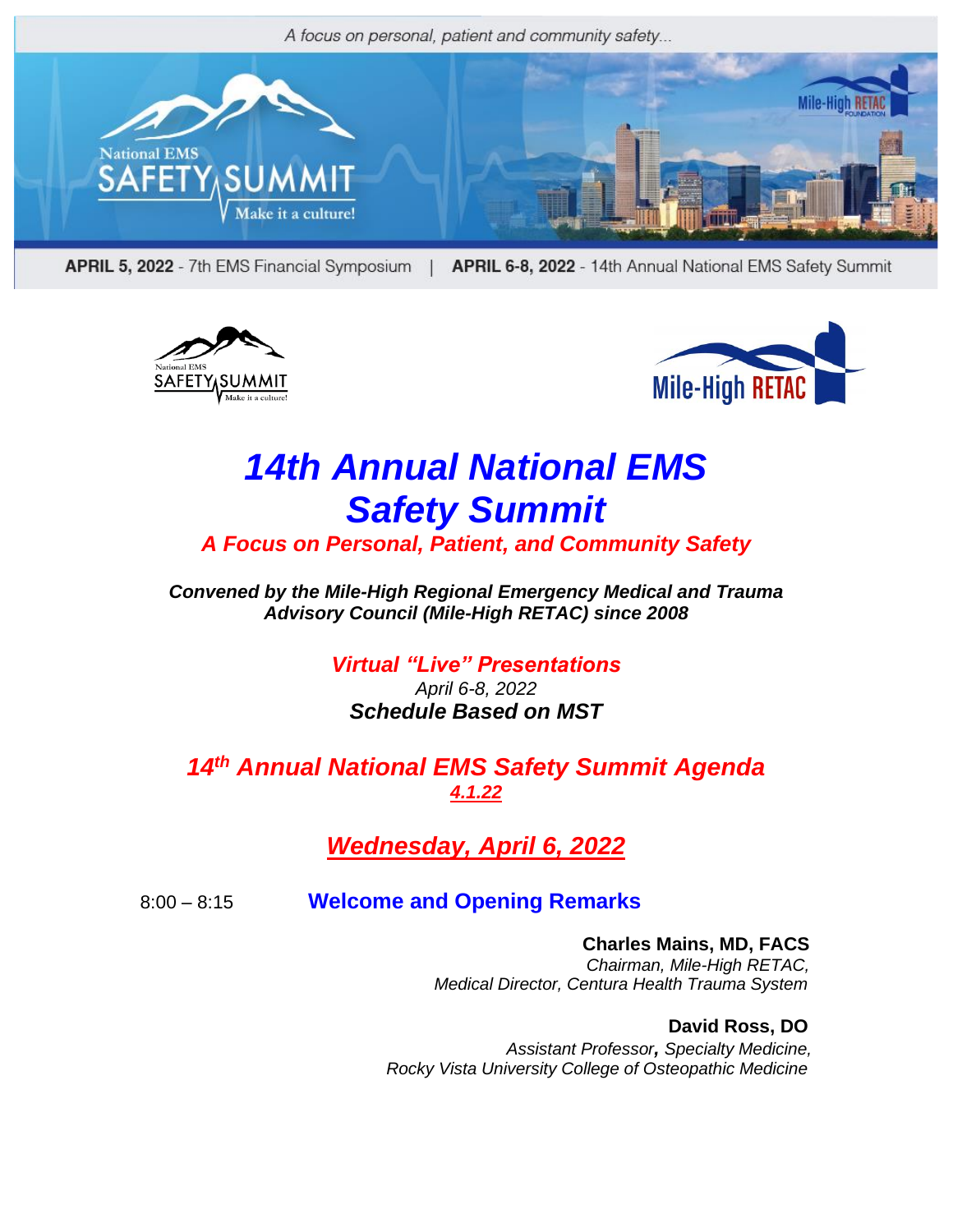

APRIL 5, 2022 - 7th EMS Financial Symposium | APRIL 6-8, 2022 - 14th Annual National EMS Safety Summit





# *14th Annual National EMS Safety Summit*

*A Focus on Personal, Patient, and Community Safety*

*Convened by the Mile-High Regional Emergency Medical and Trauma Advisory Council (Mile-High RETAC) since 2008*

> *Virtual "Live" Presentations April 6-8, 2022 Schedule Based on MST*

*14 th Annual National EMS Safety Summit Agenda 4.1.22*

*Wednesday, April 6, 2022*

8:00 – 8:15 **Welcome and Opening Remarks**

**Charles Mains, MD, FACS** *Chairman, Mile-High RETAC, Medical Director, Centura Health Trauma System*

 **David Ross, DO**  *Assistant Professor, Specialty Medicine, Rocky Vista University College of Osteopathic Medicine*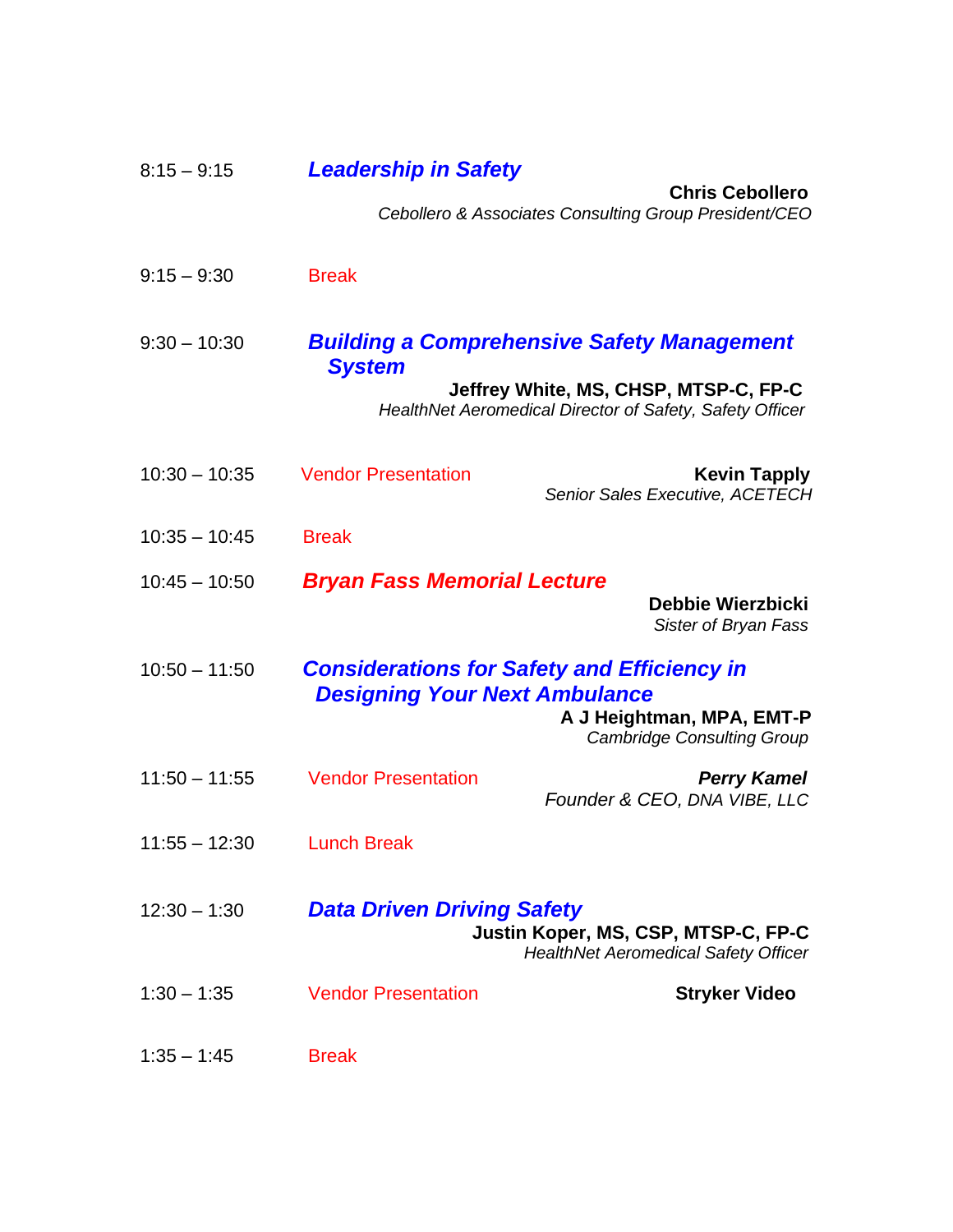| $8:15 - 9:15$   | <b>Leadership in Safety</b>          |                                                                                                                      |
|-----------------|--------------------------------------|----------------------------------------------------------------------------------------------------------------------|
|                 |                                      | <b>Chris Cebollero</b><br>Cebollero & Associates Consulting Group President/CEO                                      |
|                 |                                      |                                                                                                                      |
| $9:15 - 9:30$   | <b>Break</b>                         |                                                                                                                      |
| $9:30 - 10:30$  | <b>System</b>                        | <b>Building a Comprehensive Safety Management</b>                                                                    |
|                 |                                      | Jeffrey White, MS, CHSP, MTSP-C, FP-C<br>HealthNet Aeromedical Director of Safety, Safety Officer                    |
| $10:30 - 10:35$ | <b>Vendor Presentation</b>           | <b>Kevin Tapply</b><br>Senior Sales Executive, ACETECH                                                               |
| $10:35 - 10:45$ | <b>Break</b>                         |                                                                                                                      |
| $10:45 - 10:50$ | <b>Bryan Fass Memorial Lecture</b>   | Debbie Wierzbicki<br>Sister of Bryan Fass                                                                            |
| $10:50 - 11:50$ | <b>Designing Your Next Ambulance</b> | <b>Considerations for Safety and Efficiency in</b><br>A J Heightman, MPA, EMT-P<br><b>Cambridge Consulting Group</b> |
| $11:50 - 11:55$ | <b>Vendor Presentation</b>           | <b>Perry Kamel</b><br>Founder & CEO, DNA VIBE, LLC                                                                   |
| $11:55 - 12:30$ | <b>Lunch Break</b>                   |                                                                                                                      |
| $12:30 - 1:30$  | <b>Data Driven Driving Safety</b>    | Justin Koper, MS, CSP, MTSP-C, FP-C<br><b>HealthNet Aeromedical Safety Officer</b>                                   |
| $1:30 - 1:35$   | <b>Vendor Presentation</b>           | <b>Stryker Video</b>                                                                                                 |
| $1:35 - 1:45$   | <b>Break</b>                         |                                                                                                                      |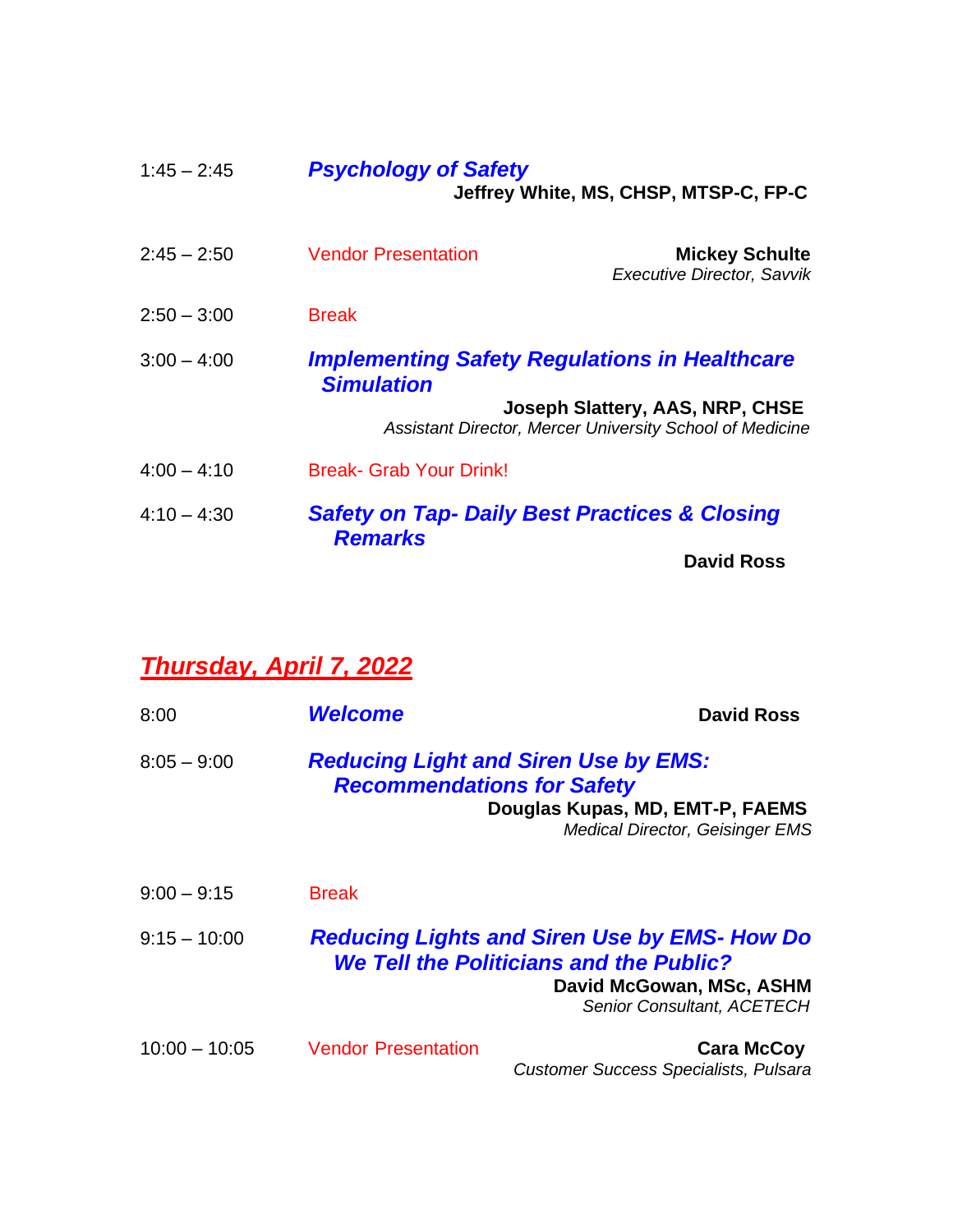| $1:45 - 2:45$ | <b>Psychology of Safety</b><br>Jeffrey White, MS, CHSP, MTSP-C, FP-C       |                                                                                             |
|---------------|----------------------------------------------------------------------------|---------------------------------------------------------------------------------------------|
| $2:45 - 2:50$ | <b>Vendor Presentation</b>                                                 | <b>Mickey Schulte</b><br><b>Executive Director, Savvik</b>                                  |
| $2:50 - 3:00$ | <b>Break</b>                                                               |                                                                                             |
| $3:00 - 4:00$ | <b>Simulation</b>                                                          | <b>Implementing Safety Regulations in Healthcare</b>                                        |
|               |                                                                            | Joseph Slattery, AAS, NRP, CHSE<br>Assistant Director, Mercer University School of Medicine |
| $4:00 - 4:10$ | <b>Break- Grab Your Drink!</b>                                             |                                                                                             |
| $4:10 - 4:30$ | <b>Safety on Tap- Daily Best Practices &amp; Closing</b><br><b>Remarks</b> |                                                                                             |
|               |                                                                            | <b>David Ross</b>                                                                           |

### *Thursday, April 7, 2022*

| 8:00            | <b>Welcome</b>                                                                                                                                                         | <b>David Ross</b>                                                 |
|-----------------|------------------------------------------------------------------------------------------------------------------------------------------------------------------------|-------------------------------------------------------------------|
| $8:05 - 9:00$   | <b>Reducing Light and Siren Use by EMS:</b><br><b>Recommendations for Safety</b><br>Douglas Kupas, MD, EMT-P, FAEMS<br><b>Medical Director, Geisinger EMS</b>          |                                                                   |
| $9:00 - 9:15$   | <b>Break</b>                                                                                                                                                           |                                                                   |
| $9:15 - 10:00$  | <b>Reducing Lights and Siren Use by EMS- How Do</b><br><b>We Tell the Politicians and the Public?</b><br>David McGowan, MSc, ASHM<br><b>Senior Consultant, ACETECH</b> |                                                                   |
| $10:00 - 10:05$ | <b>Vendor Presentation</b>                                                                                                                                             | <b>Cara McCoy</b><br><b>Customer Success Specialists, Pulsara</b> |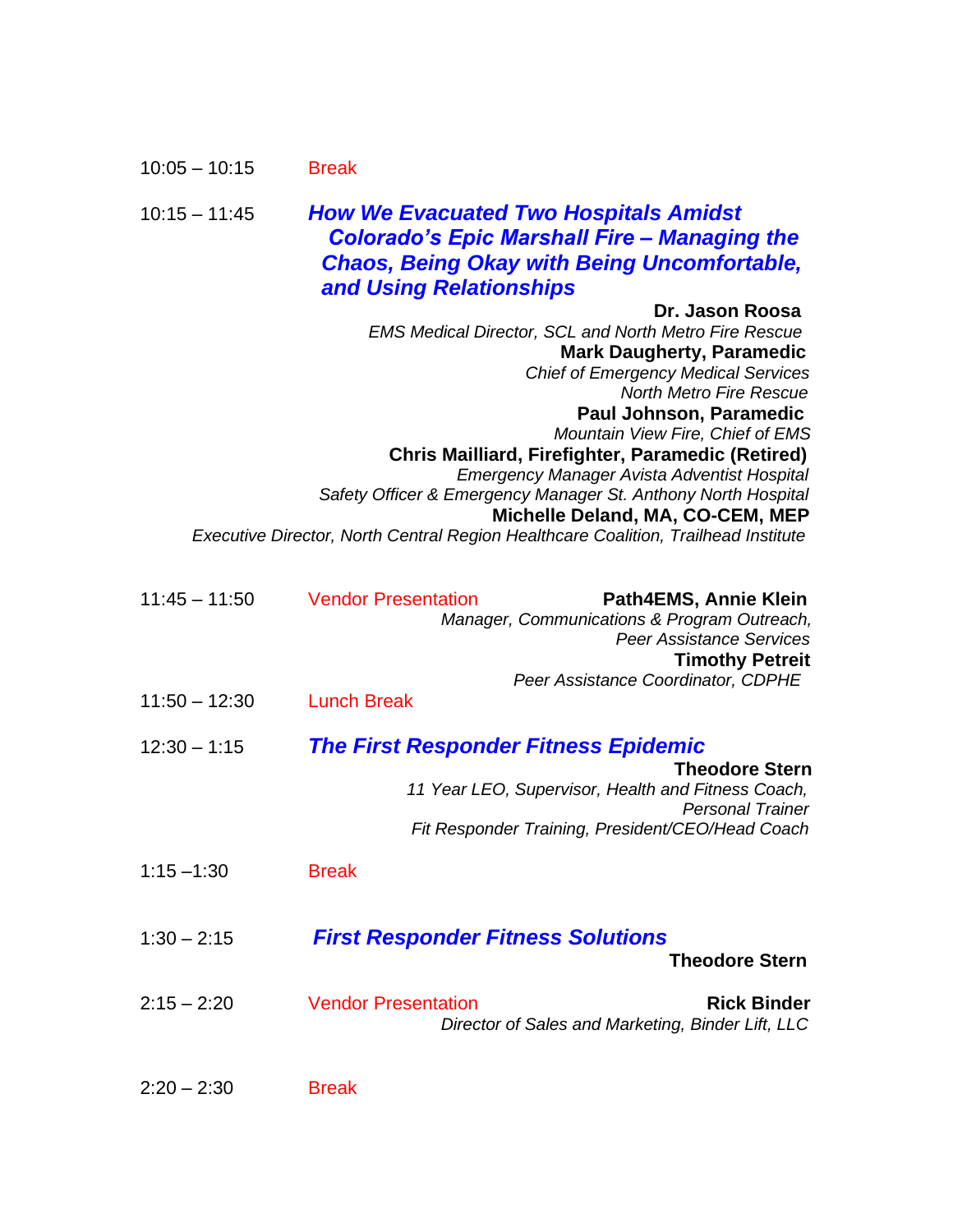| $10:05 - 10:15$ | <b>Break</b> |
|-----------------|--------------|
|-----------------|--------------|

#### 10:15 – 11:45 *How We Evacuated Two Hospitals Amidst Colorado's Epic Marshall Fire – Managing the Chaos, Being Okay with Being Uncomfortable, and Using Relationships*

| Dr. Jason Roosa                                                                    |
|------------------------------------------------------------------------------------|
| <b>EMS Medical Director, SCL and North Metro Fire Rescue</b>                       |
| <b>Mark Daugherty, Paramedic</b>                                                   |
| <b>Chief of Emergency Medical Services</b>                                         |
| <b>North Metro Fire Rescue</b>                                                     |
| Paul Johnson, Paramedic                                                            |
| Mountain View Fire, Chief of EMS                                                   |
| Chris Mailliard, Firefighter, Paramedic (Retired)                                  |
| <b>Emergency Manager Avista Adventist Hospital</b>                                 |
| Safety Officer & Emergency Manager St. Anthony North Hospital                      |
| Michelle Deland, MA, CO-CEM, MEP                                                   |
| Executive Director, North Central Region Healthcare Coalition, Trailhead Institute |

| $11:45 - 11:50$ | <b>Vendor Presentation</b><br>Path4EMS, Annie Klein<br>Manager, Communications & Program Outreach,<br><b>Peer Assistance Services</b><br><b>Timothy Petreit</b>                                           |
|-----------------|-----------------------------------------------------------------------------------------------------------------------------------------------------------------------------------------------------------|
| $11:50 - 12:30$ | Peer Assistance Coordinator, CDPHE<br><b>Lunch Break</b>                                                                                                                                                  |
| $12:30 - 1:15$  | <b>The First Responder Fitness Epidemic</b><br><b>Theodore Stern</b><br>11 Year LEO, Supervisor, Health and Fitness Coach,<br><b>Personal Trainer</b><br>Fit Responder Training, President/CEO/Head Coach |
| $1:15 - 1:30$   | <b>Break</b>                                                                                                                                                                                              |
| $1:30 - 2:15$   | <b>First Responder Fitness Solutions</b><br><b>Theodore Stern</b>                                                                                                                                         |
| $2:15 - 2:20$   | <b>Vendor Presentation</b><br><b>Rick Binder</b><br>Director of Sales and Marketing, Binder Lift, LLC                                                                                                     |
| $2:20 - 2:30$   | <b>Break</b>                                                                                                                                                                                              |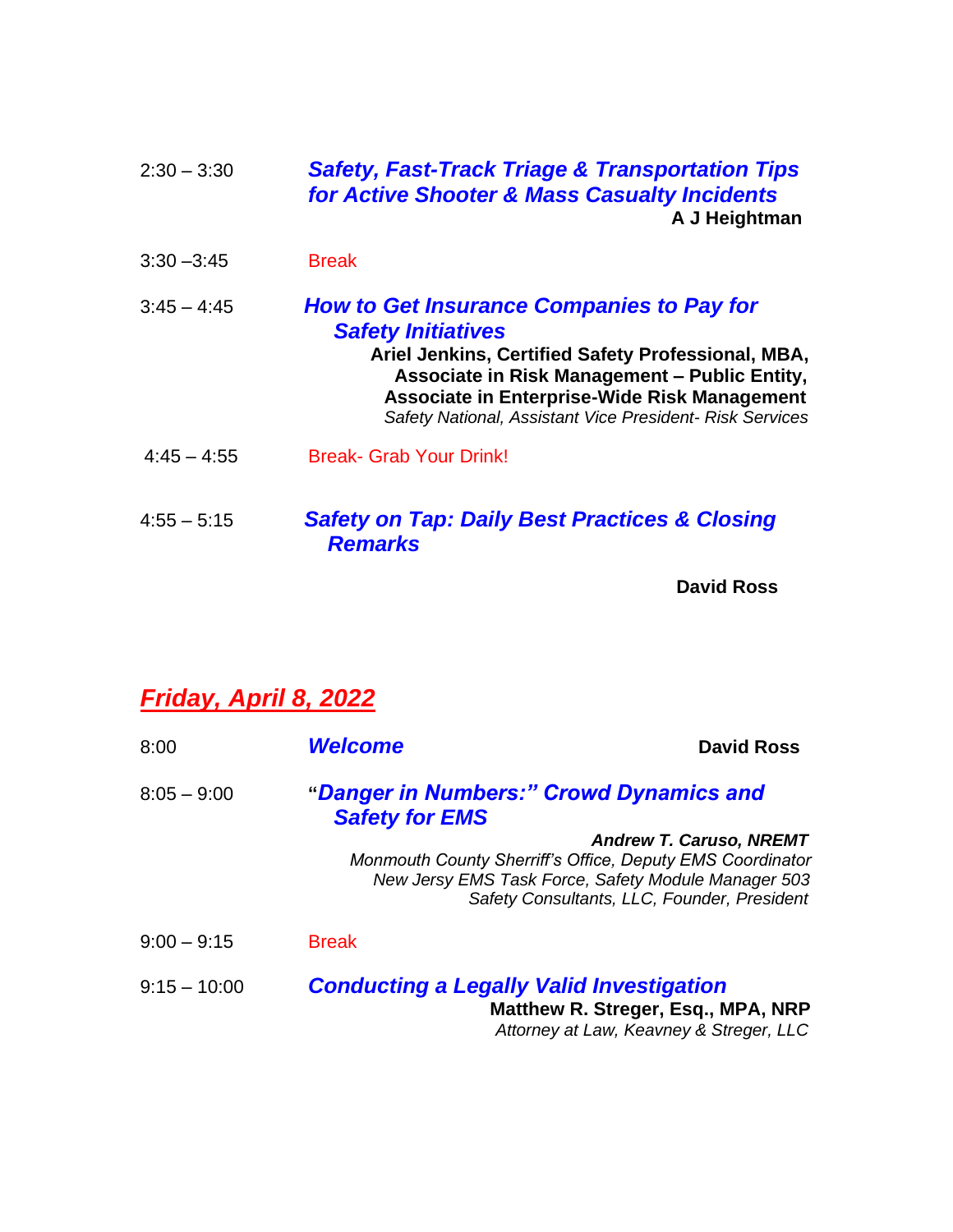| $2:30 - 3:30$ | <b>Safety, Fast-Track Triage &amp; Transportation Tips</b><br>for Active Shooter & Mass Casualty Incidents<br>A J Heightman                                                                                                                                                                      |
|---------------|--------------------------------------------------------------------------------------------------------------------------------------------------------------------------------------------------------------------------------------------------------------------------------------------------|
| $3:30 - 3:45$ | <b>Break</b>                                                                                                                                                                                                                                                                                     |
| $3:45 - 4:45$ | <b>How to Get Insurance Companies to Pay for</b><br><b>Safety Initiatives</b><br>Ariel Jenkins, Certified Safety Professional, MBA,<br>Associate in Risk Management - Public Entity,<br>Associate in Enterprise-Wide Risk Management<br>Safety National, Assistant Vice President- Risk Services |
| $4:45 - 4:55$ | <b>Break- Grab Your Drink!</b>                                                                                                                                                                                                                                                                   |
| $4:55 - 5:15$ | <b>Safety on Tap: Daily Best Practices &amp; Closing</b><br><b>Remarks</b>                                                                                                                                                                                                                       |

**David Ross**

## *Friday, April 8, 2022*

| 8:00           | <b>Welcome</b>                                                                                                   | <b>David Ross</b>                                                             |
|----------------|------------------------------------------------------------------------------------------------------------------|-------------------------------------------------------------------------------|
| $8:05 - 9:00$  | "Danger in Numbers:" Crowd Dynamics and<br><b>Safety for EMS</b>                                                 |                                                                               |
|                | Monmouth County Sherriff's Office, Deputy EMS Coordinator<br>New Jersy EMS Task Force, Safety Module Manager 503 | <b>Andrew T. Caruso, NREMT</b><br>Safety Consultants, LLC, Founder, President |
| $9:00 - 9:15$  | <b>Break</b>                                                                                                     |                                                                               |
| $9:15 - 10:00$ | <b>Conducting a Legally Valid Investigation</b>                                                                  | Matthew R. Streger, Esq., MPA, NRP<br>Attorney at Law, Keavney & Streger, LLC |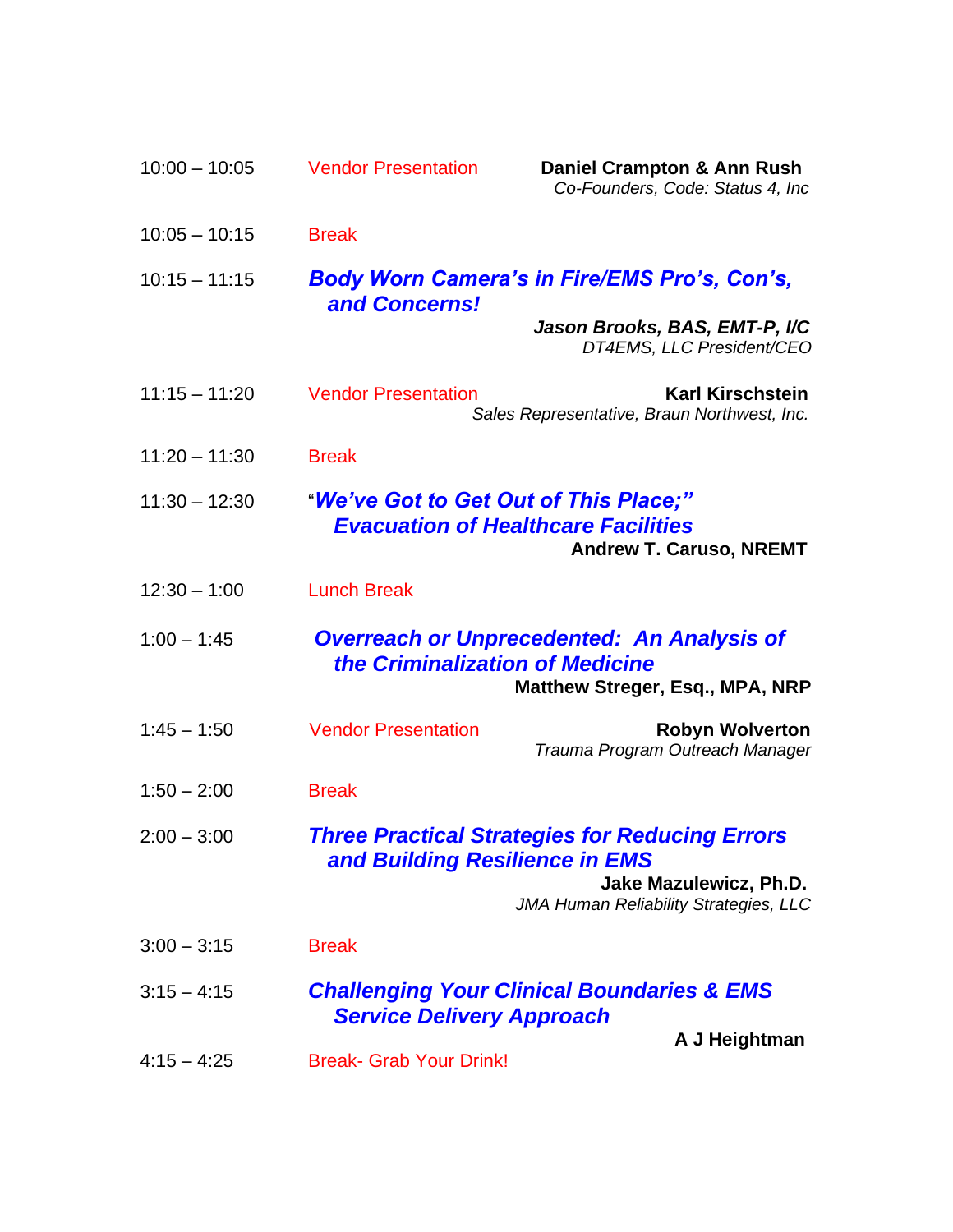| $10:00 - 10:05$ | <b>Vendor Presentation</b>                                                                                                                                 | Daniel Crampton & Ann Rush<br>Co-Founders, Code: Status 4, Inc                       |
|-----------------|------------------------------------------------------------------------------------------------------------------------------------------------------------|--------------------------------------------------------------------------------------|
| $10:05 - 10:15$ | <b>Break</b>                                                                                                                                               |                                                                                      |
| $10:15 - 11:15$ | and Concerns!                                                                                                                                              | <b>Body Worn Camera's in Fire/EMS Pro's, Con's,</b>                                  |
|                 |                                                                                                                                                            | Jason Brooks, BAS, EMT-P, I/C<br>DT4EMS, LLC President/CEO                           |
| $11:15 - 11:20$ | <b>Vendor Presentation</b>                                                                                                                                 | <b>Karl Kirschstein</b><br>Sales Representative, Braun Northwest, Inc.               |
| $11:20 - 11:30$ | <b>Break</b>                                                                                                                                               |                                                                                      |
| $11:30 - 12:30$ | "We've Got to Get Out of This Place;"<br><b>Evacuation of Healthcare Facilities</b><br><b>Andrew T. Caruso, NREMT</b>                                      |                                                                                      |
| $12:30 - 1:00$  | <b>Lunch Break</b>                                                                                                                                         |                                                                                      |
| $1:00 - 1:45$   | the Criminalization of Medicine                                                                                                                            | <b>Overreach or Unprecedented: An Analysis of</b><br>Matthew Streger, Esq., MPA, NRP |
| $1:45 - 1:50$   | <b>Vendor Presentation</b>                                                                                                                                 | <b>Robyn Wolverton</b><br>Trauma Program Outreach Manager                            |
| $1:50 - 2:00$   | <b>Break</b>                                                                                                                                               |                                                                                      |
| $2:00 - 3:00$   | <b>Three Practical Strategies for Reducing Errors</b><br>and Building Resilience in EMS<br>Jake Mazulewicz, Ph.D.<br>JMA Human Reliability Strategies, LLC |                                                                                      |
| $3:00 - 3:15$   | <b>Break</b>                                                                                                                                               |                                                                                      |
| $3:15 - 4:15$   | <b>Challenging Your Clinical Boundaries &amp; EMS</b><br><b>Service Delivery Approach</b>                                                                  |                                                                                      |
| $4:15 - 4:25$   | <b>Break- Grab Your Drink!</b>                                                                                                                             | A J Heightman                                                                        |